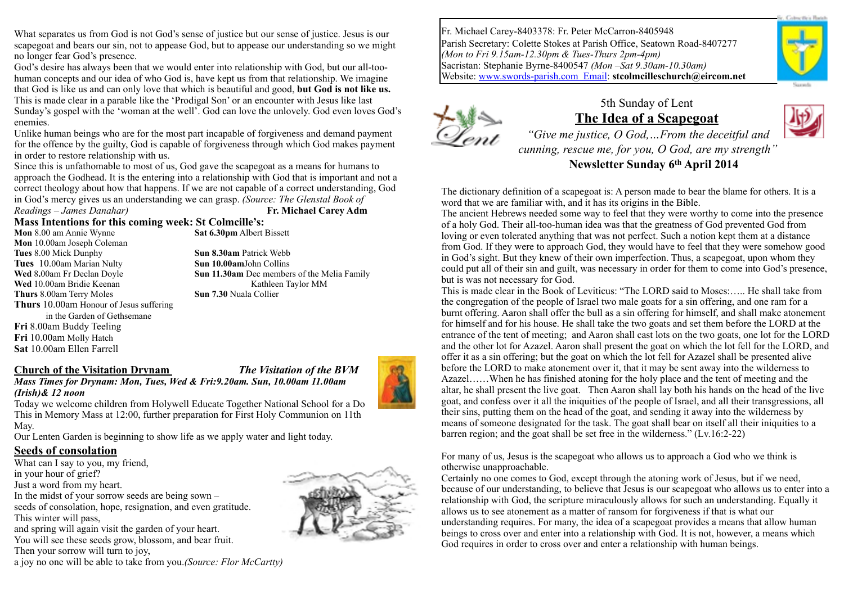What separates us from God is not God's sense of justice but our sense of justice. Jesus is our scapegoat and bears our sin, not to appease God, but to appease our understanding so we might no longer fear God's presence.

God's desire has always been that we would enter into relationship with God, but our all-toohuman concepts and our idea of who God is, have kept us from that relationship. We imagine that God is like us and can only love that which is beautiful and good, **but God is not like us.** This is made clear in a parable like the 'Prodigal Son' or an encounter with Jesus like last Sunday's gospel with the 'woman at the well'. God can love the unlovely. God even loves God's enemies.

Unlike human beings who are for the most part incapable of forgiveness and demand payment for the offence by the guilty, God is capable of forgiveness through which God makes payment in order to restore relationship with us.

Since this is unfathomable to most of us, God gave the scapegoat as a means for humans to approach the Godhead. It is the entering into a relationship with God that is important and not a correct theology about how that happens. If we are not capable of a correct understanding, God in God's mercy gives us an understanding we can grasp. *(Source: The Glenstal Book of* 

*Readings – James Danahar)* **Fr. Michael Carey Adm**

**Mass Intentions for this coming week: St Colmcille's:** 

**Mon** 8.00 am Annie Wynne **Sat 6.30pm** Albert Bissett **Mon** 10.00am Joseph Coleman **Tues** 8.00 Mick Dunphy **Sun 8.30am** Patrick Webb **Tues** 10.00am Marian Nulty **Sun 10.00am**John Collins **Wed** 8**.**00am Fr Declan Doyle **Sun 11.30am** Dec members of the Melia Family **Wed** 10.00am Bridie Keenan Kathleen Taylor MM **Thurs** 8.00am Terry Moles **Sun 7.30** Nuala Collier **Thurs** 10.00am Honour of Jesus suffering in the Garden of Gethsemane **Fri** 8.00am Buddy Teeling **Fri** 10.00am Molly Hatch **Sat** 10.00am Ellen Farrell

#### **Church of the Visitation Drynam** *The Visitation of the BVM*

*Mass Times for Drynam: Mon, Tues, Wed & Fri:9.20am. Sun, 10.00am 11.00am (Irish)& 12 noon* 



Today we welcome children from Holywell Educate Together National School for a Do This in Memory Mass at 12:00, further preparation for First Holy Communion on 11th May.

Our Lenten Garden is beginning to show life as we apply water and light today.

#### **Seeds of consolation**

What can I say to you, my friend,

in your hour of grief?

Just a word from my heart.

In the midst of your sorrow seeds are being sown –

seeds of consolation, hope, resignation, and even gratitude. This winter will pass,

and spring will again visit the garden of your heart.

You will see these seeds grow, blossom, and bear fruit.

Then your sorrow will turn to joy,

a joy no one will be able to take from you.*(Source: Flor McCartty)*



Fr. Michael Carey-8403378: Fr. Peter McCarron-8405948 Parish Secretary: Colette Stokes at Parish Office, Seatown Road-8407277 *(Mon to Fri 9.15am-12.30pm & Tues-Thurs 2pm-4pm)* Sacristan: Stephanie Byrne-8400547 *(Mon –Sat 9.30am-10.30am)* Website: [www.swords-parish.com Email:](http://www.swords-parish.com%20%20email) **stcolmcilleschurch@eircom.net**





# **The Idea of a Scapegoat**



 *"Give me justice, O God,…From the deceitful and cunning, rescue me, for you, O God, are my strength"*  **Newsletter Sunday 6th April 2014** 

The dictionary definition of a scapegoat is: A person made to bear the blame for others. It is a word that we are familiar with, and it has its origins in the Bible.

The ancient Hebrews needed some way to feel that they were worthy to come into the presence of a holy God. Their all-too-human idea was that the greatness of God prevented God from loving or even tolerated anything that was not perfect. Such a notion kept them at a distance from God. If they were to approach God, they would have to feel that they were somehow good in God's sight. But they knew of their own imperfection. Thus, a scapegoat, upon whom they could put all of their sin and guilt, was necessary in order for them to come into God's presence, but is was not necessary for God.

This is made clear in the Book of Leviticus: "The LORD said to Moses:….. He shall take from the congregation of the people of Israel two male goats for a sin offering, and one ram for a burnt offering. Aaron shall offer the bull as a sin offering for himself, and shall make atonement for himself and for his house. He shall take the two goats and set them before the LORD at the entrance of the tent of meeting; and Aaron shall cast lots on the two goats, one lot for the LORD and the other lot for Azazel. Aaron shall present the goat on which the lot fell for the LORD, and offer it as a sin offering; but the goat on which the lot fell for Azazel shall be presented alive before the LORD to make atonement over it, that it may be sent away into the wilderness to Azazel……When he has finished atoning for the holy place and the tent of meeting and the altar, he shall present the live goat. Then Aaron shall lay both his hands on the head of the live goat, and confess over it all the iniquities of the people of Israel, and all their transgressions, all their sins, putting them on the head of the goat, and sending it away into the wilderness by means of someone designated for the task. The goat shall bear on itself all their iniquities to a barren region; and the goat shall be set free in the wilderness." (Lv.16:2-22)

For many of us, Jesus is the scapegoat who allows us to approach a God who we think is otherwise unapproachable.

Certainly no one comes to God, except through the atoning work of Jesus, but if we need, because of our understanding, to believe that Jesus is our scapegoat who allows us to enter into a relationship with God, the scripture miraculously allows for such an understanding. Equally it allows us to see atonement as a matter of ransom for forgiveness if that is what our understanding requires. For many, the idea of a scapegoat provides a means that allow human beings to cross over and enter into a relationship with God. It is not, however, a means which God requires in order to cross over and enter a relationship with human beings.